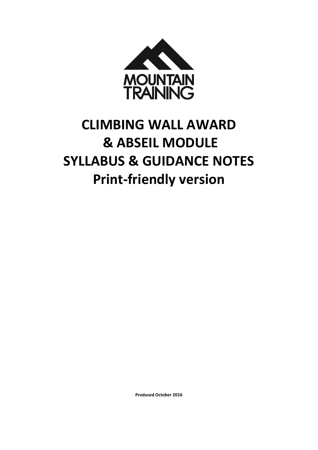

# **CLIMBING WALL AWARD & ABSEIL MODULE SYLLABUS & GUIDANCE NOTES Print-friendly version**

**Produced October 2016**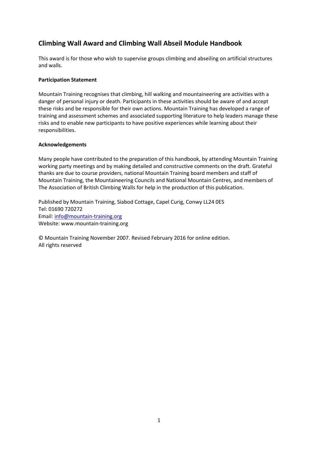# **Climbing Wall Award and Climbing Wall Abseil Module Handbook**

This award is for those who wish to supervise groups climbing and abseiling on artificial structures and walls.

#### **Participation Statement**

Mountain Training recognises that climbing, hill walking and mountaineering are activities with a danger of personal injury or death. Participants in these activities should be aware of and accept these risks and be responsible for their own actions. Mountain Training has developed a range of training and assessment schemes and associated supporting literature to help leaders manage these risks and to enable new participants to have positive experiences while learning about their responsibilities.

#### **Acknowledgements**

Many people have contributed to the preparation of this handbook, by attending Mountain Training working party meetings and by making detailed and constructive comments on the draft. Grateful thanks are due to course providers, national Mountain Training board members and staff of Mountain Training, the Mountaineering Councils and National Mountain Centres, and members of The Association of British Climbing Walls for help in the production of this publication.

Published by Mountain Training, Siabod Cottage, Capel Curig, Conwy LL24 0ES Tel: 01690 720272 Email: [info@mountain-training.org](mailto:info@mountain-training.org) Website: www.mountain-training.org

© Mountain Training November 2007. Revised February 2016 for online edition. All rights reserved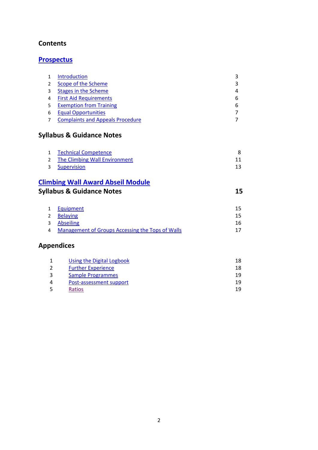# **Contents**

# **[Prospectus](#page-3-0)**

|                | <b>Introduction</b>                     | 3 |
|----------------|-----------------------------------------|---|
| $\overline{2}$ | Scope of the Scheme                     | 3 |
| $\mathbf{3}$   | <b>Stages in the Scheme</b>             | 4 |
| 4              | <b>First Aid Requirements</b>           | 6 |
| -5             | <b>Exemption from Training</b>          | 6 |
| 6              | <b>Equal Opportunities</b>              | 7 |
|                | <b>Complaints and Appeals Procedure</b> |   |

# **Syllabus & Guidance Notes**

| 1 Technical Competence          |  |
|---------------------------------|--|
| 2 The Climbing Wall Environment |  |
| 3 Supervision                   |  |

# **[Climbing Wall Award Abseil Module](#page-15-0)**

| <b>Syllabus &amp; Guidance Notes</b> | 15 |
|--------------------------------------|----|
|--------------------------------------|----|

| 1 Equipment                                        | 15 |
|----------------------------------------------------|----|
| 2 Belaying                                         | 15 |
| 3 Abseiling                                        | 16 |
| 4 Management of Groups Accessing the Tops of Walls |    |

# **Appendices**

| Using the Digital Logbook | 18 |
|---------------------------|----|
| <b>Further Experience</b> | 18 |
| <b>Sample Programmes</b>  | 19 |
| Post-assessment support   | 19 |
| <b>Ratios</b>             | 19 |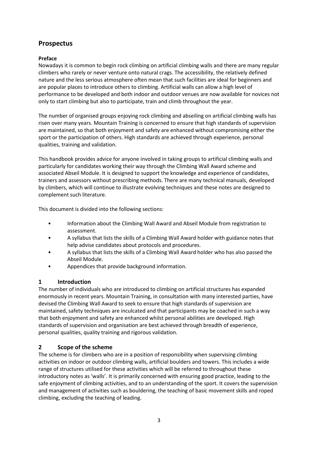# <span id="page-3-0"></span>**Prospectus**

#### **Preface**

Nowadays it is common to begin rock climbing on artificial climbing walls and there are many regular climbers who rarely or never venture onto natural crags. The accessibility, the relatively defined nature and the less serious atmosphere often mean that such facilities are ideal for beginners and are popular places to introduce others to climbing. Artificial walls can allow a high level of performance to be developed and both indoor and outdoor venues are now available for novices not only to start climbing but also to participate, train and climb throughout the year.

The number of organised groups enjoying rock climbing and abseiling on artificial climbing walls has risen over many years. Mountain Training is concerned to ensure that high standards of supervision are maintained, so that both enjoyment and safety are enhanced without compromising either the sport or the participation of others. High standards are achieved through experience, personal qualities, training and validation.

This handbook provides advice for anyone involved in taking groups to artificial climbing walls and particularly for candidates working their way through the Climbing Wall Award scheme and associated Abseil Module. It is designed to support the knowledge and experience of candidates, trainers and assessors without prescribing methods. There are many technical manuals, developed by climbers, which will continue to illustrate evolving techniques and these notes are designed to complement such literature.

This document is divided into the following sections:

- Information about the Climbing Wall Award and Abseil Module from registration to assessment.
- A syllabus that lists the skills of a Climbing Wall Award holder with guidance notes that help advise candidates about protocols and procedures.
- A syllabus that lists the skills of a Climbing Wall Award holder who has also passed the Abseil Module.
- <span id="page-3-1"></span>• Appendices that provide background information.

#### **1 Introduction**

The number of individuals who are introduced to climbing on artificial structures has expanded enormously in recent years. Mountain Training, in consultation with many interested parties, have devised the Climbing Wall Award to seek to ensure that high standards of supervision are maintained, safety techniques are inculcated and that participants may be coached in such a way that both enjoyment and safety are enhanced whilst personal abilities are developed. High standards of supervision and organisation are best achieved through breadth of experience, personal qualities, quality training and rigorous validation.

#### <span id="page-3-2"></span>**2 Scope of the scheme**

The scheme is for climbers who are in a position of responsibility when supervising climbing activities on indoor or outdoor climbing walls, artificial boulders and towers. This includes a wide range of structures utilised for these activities which will be referred to throughout these introductory notes as 'walls'. It is primarily concerned with ensuring good practice, leading to the safe enjoyment of climbing activities, and to an understanding of the sport. It covers the supervision and management of activities such as bouldering, the teaching of basic movement skills and roped climbing, excluding the teaching of leading.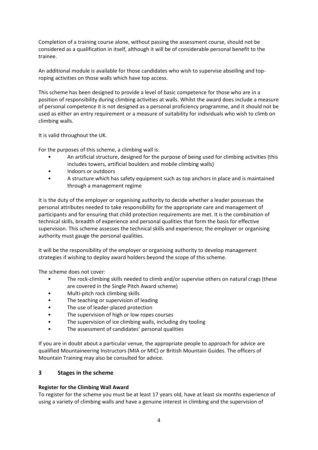Completion of a training course alone, without passing the assessment course, should not be considered as a qualification in itself, although it will be of considerable personal benefit to the trainee.

An additional module is available for those candidates who wish to supervise abseiling and toproping activities on those walls which have top access.

This scheme has been designed to provide a level of basic competence for those who are in a position of responsibility during climbing activities at walls. Whilst the award does include a measure of personal competence it is not designed as a personal proficiency programme, and it should not be used as either an entry requirement or a measure of suitability for individuals who wish to climb on climbing walls.

It is valid throughout the UK.

For the purposes of this scheme, a climbing wall is:

- An artificial structure, designed for the purpose of being used for climbing activities (this includes towers, artificial boulders and mobile climbing walls)
- Indoors or outdoors
- A structure which has safety equipment such as top anchors in place and is maintained through a management regime

It is the duty of the employer or organising authority to decide whether a leader possesses the personal attributes needed to take responsibility for the appropriate care and management of participants and for ensuring that child protection requirements are met. It is the combination of technical skills, breadth of experience and personal qualities that form the basis for effective supervision. This scheme assesses the technical skills and experience; the employer or organising authority must gauge the personal qualities.

It will be the responsibility of the employer or organising authority to develop management strategies if wishing to deploy award holders beyond the scope of this scheme.

The scheme does not cover:

- The rock-climbing skills needed to climb and/or supervise others on natural crags (these are covered in the Single Pitch Award scheme)
- Multi-pitch rock climbing skills
- The teaching or supervision of leading
- The use of leader-placed protection
- The supervision of high or low ropes courses
- The supervision of ice climbing walls, including dry tooling
- The assessment of candidates' personal qualities

If you are in doubt about a particular venue, the appropriate people to approach for advice are qualified Mountaineering Instructors (MIA or MIC) or British Mountain Guides. The officers of Mountain Training may also be consulted for advice.

#### <span id="page-4-0"></span>**3 Stages in the scheme**

#### **Register for the Climbing Wall Award**

To register for the scheme you must be at least 17 years old, have at least six months experience of using a variety of climbing walls and have a genuine interest in climbing and the supervision of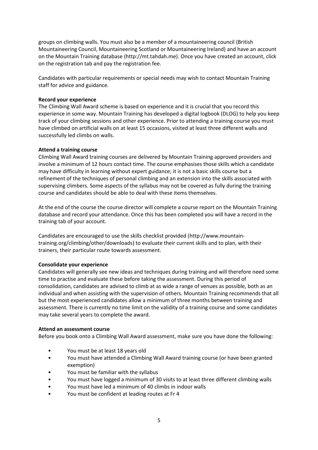groups on climbing walls. You must also be a member of a mountaineering council (British Mountaineering Council, Mountaineering Scotland or Mountaineering Ireland) and have an account on the Mountain Training database (http://mt.tahdah.me). Once you have created an account, click on the registration tab and pay the registration fee.

Candidates with particular requirements or special needs may wish to contact Mountain Training staff for advice and guidance.

#### **Record your experience**

The Climbing Wall Award scheme is based on experience and it is crucial that you record this experience in some way. Mountain Training has developed a digital logbook (DLOG) to help you keep track of your climbing sessions and other experience. Prior to attending a training course you must have climbed on artificial walls on at least 15 occasions, visited at least three different walls and successfully led climbs on walls.

#### **Attend a training course**

Climbing Wall Award training courses are delivered by Mountain Training approved providers and involve a minimum of 12 hours contact time. The course emphasises those skills which a candidate may have difficulty in learning without expert guidance; it is not a basic skills course but a refinement of the techniques of personal climbing and an extension into the skills associated with supervising climbers. Some aspects of the syllabus may not be covered as fully during the training course and candidates should be able to deal with these items themselves.

At the end of the course the course director will complete a course report on the Mountain Training database and record your attendance. Once this has been completed you will have a record in the training tab of your account.

Candidates are encouraged to use the skills checklist provided (http://www.mountaintraining.org/climbing/other/downloads) to evaluate their current skills and to plan, with their trainers, their particular route towards assessment.

#### **Consolidate your experience**

Candidates will generally see new ideas and techniques during training and will therefore need some time to practise and evaluate these before taking the assessment. During this period of consolidation, candidates are advised to climb at as wide a range of venues as possible, both as an individual and when assisting with the supervision of others. Mountain Training recommends that all but the most experienced candidates allow a minimum of three months between training and assessment. There is currently no time limit on the validity of a training course and some candidates may take several years to complete the award.

#### **Attend an assessment course**

Before you book onto a Climbing Wall Award assessment, make sure you have done the following:

- You must be at least 18 years old
- You must have attended a Climbing Wall Award training course (or have been granted exemption)
- You must be familiar with the syllabus
- You must have logged a minimum of 30 visits to at least three different climbing walls
- You must have led a minimum of 40 climbs in indoor walls
- You must be confident at leading routes at Fr 4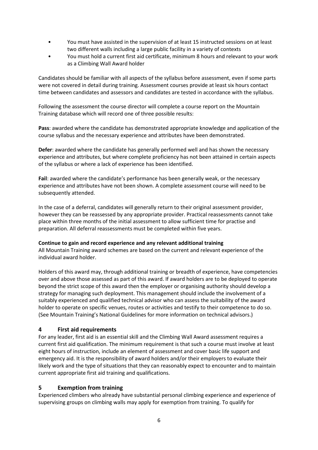- You must have assisted in the supervision of at least 15 instructed sessions on at least two different walls including a large public facility in a variety of contexts
- You must hold a current first aid certificate, minimum 8 hours and relevant to your work as a Climbing Wall Award holder

Candidates should be familiar with all aspects of the syllabus before assessment, even if some parts were not covered in detail during training. Assessment courses provide at least six hours contact time between candidates and assessors and candidates are tested in accordance with the syllabus.

Following the assessment the course director will complete a course report on the Mountain Training database which will record one of three possible results:

**Pass**: awarded where the candidate has demonstrated appropriate knowledge and application of the course syllabus and the necessary experience and attributes have been demonstrated.

**Defer**: awarded where the candidate has generally performed well and has shown the necessary experience and attributes, but where complete proficiency has not been attained in certain aspects of the syllabus or where a lack of experience has been identified.

**Fail**: awarded where the candidate's performance has been generally weak, or the necessary experience and attributes have not been shown. A complete assessment course will need to be subsequently attended.

In the case of a deferral, candidates will generally return to their original assessment provider, however they can be reassessed by any appropriate provider. Practical reassessments cannot take place within three months of the initial assessment to allow sufficient time for practise and preparation. All deferral reassessments must be completed within five years.

#### **Continue to gain and record experience and any relevant additional training**

All Mountain Training award schemes are based on the current and relevant experience of the individual award holder.

Holders of this award may, through additional training or breadth of experience, have competencies over and above those assessed as part of this award. If award holders are to be deployed to operate beyond the strict scope of this award then the employer or organising authority should develop a strategy for managing such deployment. This management should include the involvement of a suitably experienced and qualified technical advisor who can assess the suitability of the award holder to operate on specific venues, routes or activities and testify to their competence to do so. (See Mountain Training's National Guidelines for more information on technical advisors.)

#### <span id="page-6-0"></span>**4 First aid requirements**

For any leader, first aid is an essential skill and the Climbing Wall Award assessment requires a current first aid qualification. The minimum requirement is that such a course must involve at least eight hours of instruction, include an element of assessment and cover basic life support and emergency aid. It is the responsibility of award holders and/or their employers to evaluate their likely work and the type of situations that they can reasonably expect to encounter and to maintain current appropriate first aid training and qualifications.

#### <span id="page-6-1"></span>**5 Exemption from training**

Experienced climbers who already have substantial personal climbing experience and experience of supervising groups on climbing walls may apply for exemption from training. To qualify for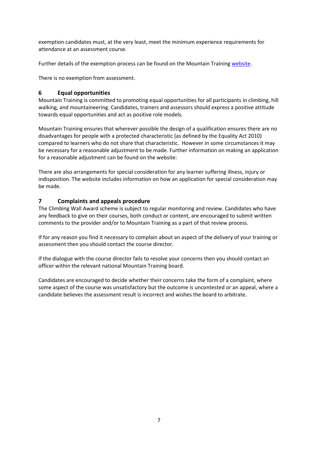exemption candidates must, at the very least, meet the minimum experience requirements for attendance at an assessment course.

Further details of the exemption process can be found on the Mountain Training [website.](http://www.mountain-training.org/faqs/exemption)

There is no exemption from assessment.

#### <span id="page-7-0"></span>**6 Equal opportunities**

Mountain Training is committed to promoting equal opportunities for all participants in climbing, hill walking, and mountaineering. Candidates, trainers and assessors should express a positive attitude towards equal opportunities and act as positive role models.

Mountain Training ensures that wherever possible the design of a qualification ensures there are no disadvantages for people with a protected characteristic (as defined by the Equality Act 2010) compared to learners who do not share that characteristic. However in some circumstances it may be necessary for a reasonable adjustment to be made. Further information on making an application for a reasonable adjustment can be found on the website:

There are also arrangements for special consideration for any learner suffering illness, injury or indisposition. The website includes information on how an application for special consideration may be made.

#### <span id="page-7-1"></span>**7 Complaints and appeals procedure**

The Climbing Wall Award scheme is subject to regular monitoring and review. Candidates who have any feedback to give on their courses, both conduct or content, are encouraged to submit written comments to the provider and/or to Mountain Training as a part of that review process.

If for any reason you find it necessary to complain about an aspect of the delivery of your training or assessment then you should contact the course director.

If the dialogue with the course director fails to resolve your concerns then you should contact an officer within the relevant national Mountain Training board.

Candidates are encouraged to decide whether their concerns take the form of a complaint, where some aspect of the course was unsatisfactory but the outcome is uncontested or an appeal, where a candidate believes the assessment result is incorrect and wishes the board to arbitrate.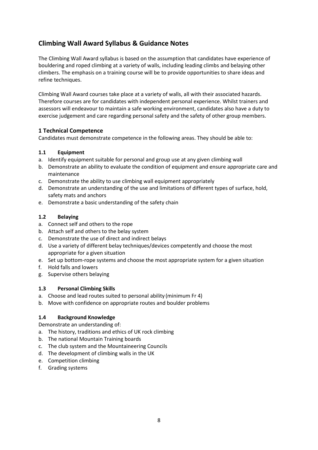# **Climbing Wall Award Syllabus & Guidance Notes**

The Climbing Wall Award syllabus is based on the assumption that candidates have experience of bouldering and roped climbing at a variety of walls, including leading climbs and belaying other climbers. The emphasis on a training course will be to provide opportunities to share ideas and refine techniques.

Climbing Wall Award courses take place at a variety of walls, all with their associated hazards. Therefore courses are for candidates with independent personal experience. Whilst trainers and assessors will endeavour to maintain a safe working environment, candidates also have a duty to exercise judgement and care regarding personal safety and the safety of other group members.

#### <span id="page-8-0"></span>**1 Technical Competence**

Candidates must demonstrate competence in the following areas. They should be able to:

#### **1.1 Equipment**

- a. Identify equipment suitable for personal and group use at any given climbing wall
- b. Demonstrate an ability to evaluate the condition of equipment and ensure appropriate care and maintenance
- c. Demonstrate the ability to use climbing wall equipment appropriately
- d. Demonstrate an understanding of the use and limitations of different types of surface, hold, safety mats and anchors
- e. Demonstrate a basic understanding of the safety chain

#### **1.2 Belaying**

- a. Connect self and others to the rope
- b. Attach self and others to the belay system
- c. Demonstrate the use of direct and indirect belays
- d. Use a variety of different belay techniques/devices competently and choose the most appropriate for a given situation
- e. Set up bottom-rope systems and choose the most appropriate system for a given situation
- f. Hold falls and lowers
- g. Supervise others belaying

#### **1.3 Personal Climbing Skills**

- a. Choose and lead routes suited to personal ability (minimum Fr 4)
- b. Move with confidence on appropriate routes and boulder problems

#### **1.4 Background Knowledge**

Demonstrate an understanding of:

- a. The history, traditions and ethics of UK rock climbing
- b. The national Mountain Training boards
- c. The club system and the Mountaineering Councils
- d. The development of climbing walls in the UK
- e. Competition climbing
- f. Grading systems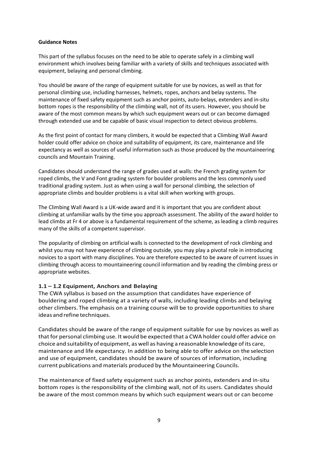#### **Guidance Notes**

This part of the syllabus focuses on the need to be able to operate safely in a climbing wall environment which involves being familiar with a variety of skills and techniques associated with equipment, belaying and personal climbing.

You should be aware of the range of equipment suitable for use by novices, as well as that for personal climbing use, including harnesses, helmets, ropes, anchors and belay systems. The maintenance of fixed safety equipment such as anchor points, auto-belays, extenders and in-situ bottom ropes is the responsibility of the climbing wall, not of its users. However, you should be aware of the most common means by which such equipment wears out or can become damaged through extended use and be capable of basic visual inspection to detect obvious problems.

As the first point of contact for many climbers, it would be expected that a Climbing Wall Award holder could offer advice on choice and suitability of equipment, its care, maintenance and life expectancy as well as sources of useful information such as those produced by the mountaineering councils and Mountain Training.

Candidates should understand the range of grades used at walls: the French grading system for roped climbs, the V and Font grading system for boulder problems and the less commonly used traditional grading system. Just as when using a wall for personal climbing, the selection of appropriate climbs and boulder problems is a vital skill when working with groups.

The Climbing Wall Award is a UK-wide award and it is important that you are confident about climbing at unfamiliar walls by the time you approach assessment. The ability of the award holder to lead climbs at Fr 4 or above is a fundamental requirement of the scheme, as leading a climb requires many of the skills of a competent supervisor.

The popularity of climbing on artificial walls is connected to the development of rock climbing and whilst you may not have experience of climbing outside, you may play a pivotal role in introducing novices to a sport with many disciplines. You are therefore expected to be aware of current issues in climbing through access to mountaineering council information and by reading the climbing press or appropriate websites.

#### **1.1 – 1.2 Equipment, Anchors and Belaying**

The CWA syllabus is based on the assumption that candidates have experience of bouldering and roped climbing at a variety of walls, including leading climbs and belaying other climbers.The emphasis on a training course will be to provide opportunities to share ideas and refine techniques.

Candidates should be aware of the range of equipment suitable for use by novices as well as that for personal climbing use. It would be expected that a CWA holder could offer advice on choice and suitability of equipment, as well as having a reasonable knowledge ofits care, maintenance and life expectancy. In addition to being able to offer advice on the selection and use of equipment, candidates should be aware of sources of information, including current publications and materials produced by the Mountaineering Councils.

The maintenance of fixed safety equipment such as anchor points, extenders and in-situ bottom ropes is the responsibility of the climbing wall, not of its users. Candidates should be aware of the most common means by which such equipment wears out or can become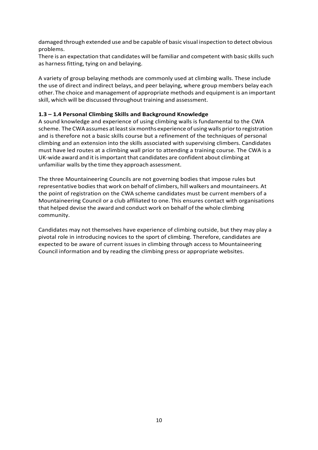damaged through extended use and be capable of basic visual inspection to detect obvious problems.

There is an expectation that candidates will be familiar and competent with basic skills such as harness fitting, tying on and belaying.

A variety of group belaying methods are commonly used at climbing walls. These include the use of direct and indirect belays, and peer belaying, where group members belay each other.The choice and management of appropriate methods and equipment is an important skill, which will be discussed throughout training and assessment.

#### **1.3 – 1.4 Personal Climbing Skills and Background Knowledge**

A sound knowledge and experience of using climbing walls is fundamental to the CWA scheme. The CWAassumes atleastsixmonths experience of using walls priorto registration and is therefore not a basic skills course but a refinement of the techniques of personal climbing and an extension into the skills associated with supervising climbers. Candidates must have led routes at a climbing wall prior to attending a training course. The CWA is a UK-wide award and it is important that candidates are confident about climbing at unfamiliar walls by the time they approach assessment.

The three Mountaineering Councils are not governing bodies that impose rules but representative bodies that work on behalf of climbers, hill walkers and mountaineers. At the point of registration on the CWA scheme candidates must be current members of a Mountaineering Council or a club affiliated to one.This ensures contact with organisations that helped devise the award and conduct work on behalf of the whole climbing community.

Candidates may not themselves have experience of climbing outside, but they may play a pivotal role in introducing novices to the sport of climbing. Therefore, candidates are expected to be aware of current issues in climbing through access to Mountaineering Council information and by reading the climbing press or appropriate websites.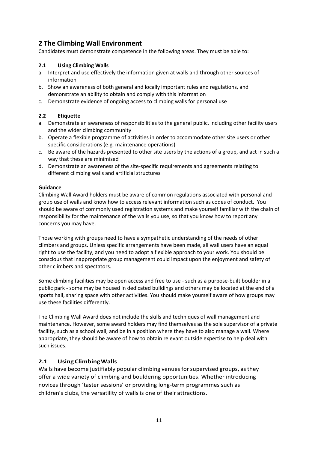# <span id="page-11-0"></span>**2 The Climbing Wall Environment**

Candidates must demonstrate competence in the following areas. They must be able to:

#### **2.1 Using Climbing Walls**

- a. Interpret and use effectively the information given at walls and through other sources of information
- b. Show an awareness of both general and locally important rules and regulations, and demonstrate an ability to obtain and comply with this information
- c. Demonstrate evidence of ongoing access to climbing walls for personal use

### **2.2 Etiquette**

- a. Demonstrate an awareness of responsibilities to the general public, including other facility users and the wider climbing community
- b. Operate a flexible programme of activities in order to accommodate other site users or other specific considerations (e.g. maintenance operations)
- c. Be aware of the hazards presented to other site users by the actions of a group, and act in such a way that these are minimised
- d. Demonstrate an awareness of the site-specific requirements and agreements relating to different climbing walls and artificial structures

#### **Guidance**

Climbing Wall Award holders must be aware of common regulations associated with personal and group use of walls and know how to access relevant information such as codes of conduct. You should be aware of commonly used registration systems and make yourself familiar with the chain of responsibility for the maintenance of the walls you use, so that you know how to report any concerns you may have.

Those working with groups need to have a sympathetic understanding of the needs of other climbers and groups. Unless specific arrangements have been made, all wall users have an equal right to use the facility, and you need to adopt a flexible approach to your work. You should be conscious that inappropriate group management could impact upon the enjoyment and safety of other climbers and spectators.

Some climbing facilities may be open access and free to use - such as a purpose-built boulder in a public park - some may be housed in dedicated buildings and others may be located at the end of a sports hall, sharing space with other activities. You should make yourself aware of how groups may use these facilities differently.

The Climbing Wall Award does not include the skills and techniques of wall management and maintenance. However, some award holders may find themselves as the sole supervisor of a private facility, such as a school wall, and be in a position where they have to also manage a wall. Where appropriate, they should be aware of how to obtain relevant outside expertise to help deal with such issues.

#### **2.1 Using ClimbingWalls**

Walls have become justifiably popular climbing venues for supervised groups, as they offer a wide variety of climbing and bouldering opportunities. Whether introducing novices through 'taster sessions' or providing long-term programmes such as children's clubs, the versatility of walls is one of their attractions.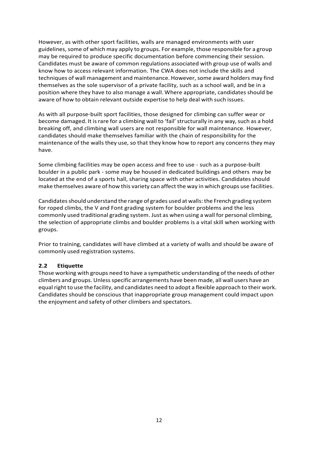However, as with other sport facilities, walls are managed environments with user guidelines, some of which may apply to groups. For example, those responsible for a group may be required to produce specific documentation before commencing their session. Candidates must be aware of common regulations associated with group use of walls and know how to access relevant information. The CWA does not include the skills and techniques of wall management and maintenance. However, some award holders may find themselves as the sole supervisor of a private facility, such as a school wall, and be in a position where they have to also manage a wall. Where appropriate, candidates should be aware of how to obtain relevant outside expertise to help deal with such issues.

As with all purpose-built sport facilities, those designed for climbing can suffer wear or become damaged. It is rare for a climbing wall to 'fail' structurally in any way, such as a hold breaking off, and climbing wall users are not responsible for wall maintenance. However, candidates should make themselves familiar with the chain of responsibility for the maintenance of the walls they use, so that they know how to report any concerns they may have.

Some climbing facilities may be open access and free to use - such as a purpose-built boulder in a public park - some may be housed in dedicated buildings and others may be located at the end of a sports hall, sharing space with other activities. Candidates should make themselves aware of how this variety can affect the way in which groups use facilities.

Candidates should understand the range of grades used at walls: the French grading system for roped climbs, the V and Font grading system for boulder problems and the less commonly used traditional grading system. Just as when using a wall for personal climbing, the selection of appropriate climbs and boulder problems is a vital skill when working with groups.

Prior to training, candidates will have climbed at a variety of walls and should be aware of commonly used registration systems.

#### **2.2 Etiquette**

Those working with groups need to have a sympathetic understanding of the needs of other climbers and groups. Unless specific arrangements have been made, all wall users have an equal right to use the facility, and candidates need to adopt a flexible approach to their work. Candidates should be conscious that inappropriate group management could impact upon the enjoyment and safety of other climbers and spectators.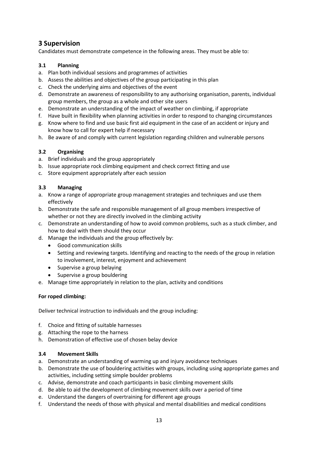# <span id="page-13-0"></span>**3 Supervision**

Candidates must demonstrate competence in the following areas. They must be able to:

#### **3.1 Planning**

- a. Plan both individual sessions and programmes of activities
- b. Assess the abilities and objectives of the group participating in this plan
- c. Check the underlying aims and objectives of the event
- d. Demonstrate an awareness of responsibility to any authorising organisation, parents, individual group members, the group as a whole and other site users
- e. Demonstrate an understanding of the impact of weather on climbing, if appropriate
- f. Have built in flexibility when planning activities in order to respond to changing circumstances
- g. Know where to find and use basic first aid equipment in the case of an accident or injury and know how to call for expert help if necessary
- h. Be aware of and comply with current legislation regarding children and vulnerable persons

#### **3.2 Organising**

- a. Brief individuals and the group appropriately
- b. Issue appropriate rock climbing equipment and check correct fitting and use
- c. Store equipment appropriately after each session

#### **3.3 Managing**

- a. Know a range of appropriate group management strategies and techniques and use them effectively
- b. Demonstrate the safe and responsible management of all group members irrespective of whether or not they are directly involved in the climbing activity
- c. Demonstrate an understanding of how to avoid common problems, such as a stuck climber, and how to deal with them should they occur
- d. Manage the individuals and the group effectively by:
	- Good communication skills
	- Setting and reviewing targets. Identifying and reacting to the needs of the group in relation to involvement, interest, enjoyment and achievement
	- Supervise a group belaying
	- Supervise a group bouldering
- e. Manage time appropriately in relation to the plan, activity and conditions

#### **For roped climbing:**

Deliver technical instruction to individuals and the group including:

- f. Choice and fitting of suitable harnesses
- g. Attaching the rope to the harness
- h. Demonstration of effective use of chosen belay device

#### **3.4 Movement Skills**

- a. Demonstrate an understanding of warming up and injury avoidance techniques
- b. Demonstrate the use of bouldering activities with groups, including using appropriate games and activities, including setting simple boulder problems
- c. Advise, demonstrate and coach participants in basic climbing movement skills
- d. Be able to aid the development of climbing movement skills over a period of time
- e. Understand the dangers of overtraining for different age groups
- f. Understand the needs of those with physical and mental disabilities and medical conditions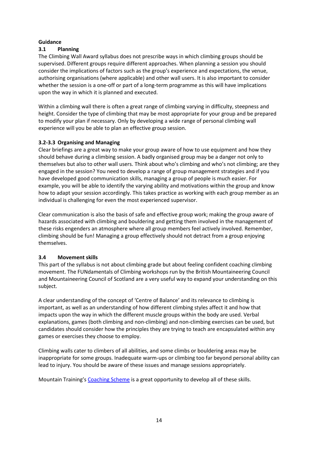#### **Guidance**

#### **3.1 Planning**

The Climbing Wall Award syllabus does not prescribe ways in which climbing groups should be supervised. Different groups require different approaches. When planning a session you should consider the implications of factors such as the group's experience and expectations, the venue, authorising organisations (where applicable) and other wall users. It is also important to consider whether the session is a one-off or part of a long-term programme as this will have implications upon the way in which it is planned and executed.

Within a climbing wall there is often a great range of climbing varying in difficulty, steepness and height. Consider the type of climbing that may be most appropriate for your group and be prepared to modify your plan if necessary. Only by developing a wide range of personal climbing wall experience will you be able to plan an effective group session.

#### **3.2-3.3 Organising and Managing**

Clear briefings are a great way to make your group aware of how to use equipment and how they should behave during a climbing session. A badly organised group may be a danger not only to themselves but also to other wall users. Think about who's climbing and who's not climbing; are they engaged in the session? You need to develop a range of group management strategies and if you have developed good communication skills, managing a group of people is much easier. For example, you will be able to identify the varying ability and motivations within the group and know how to adapt your session accordingly. This takes practice as working with each group member as an individual is challenging for even the most experienced supervisor.

Clear communication is also the basis of safe and effective group work; making the group aware of hazards associated with climbing and bouldering and getting them involved in the management of these risks engenders an atmosphere where all group members feel actively involved. Remember, climbing should be fun! Managing a group effectively should not detract from a group enjoying themselves.

#### **3.4 Movement skills**

This part of the syllabus is not about climbing grade but about feeling confident coaching climbing movement. The FUNdamentals of Climbing workshops run by the British Mountaineering Council and Mountaineering Council of Scotland are a very useful way to expand your understanding on this subject.

A clear understanding of the concept of 'Centre of Balance' and its relevance to climbing is important, as well as an understanding of how different climbing styles affect it and how that impacts upon the way in which the different muscle groups within the body are used. Verbal explanations, games (both climbing and non-climbing) and non-climbing exercises can be used, but candidates should consider how the principles they are trying to teach are encapsulated within any games or exercises they choose to employ.

Climbing walls cater to climbers of all abilities, and some climbs or bouldering areas may be inappropriate for some groups. Inadequate warm-ups or climbing too far beyond personal ability can lead to injury. You should be aware of these issues and manage sessions appropriately.

Mountain Training's [Coaching Scheme](http://www.mountain-training.org/climbing/awards/coaching-scheme) is a great opportunity to develop all of these skills.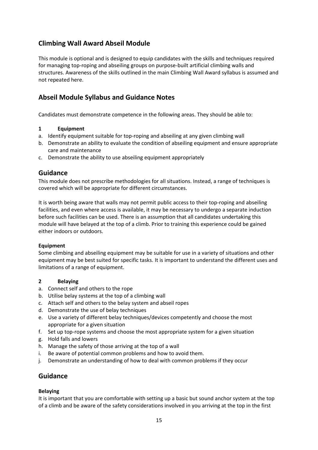# <span id="page-15-0"></span>**Climbing Wall Award Abseil Module**

This module is optional and is designed to equip candidates with the skills and techniques required for managing top-roping and abseiling groups on purpose-built artificial climbing walls and structures. Awareness of the skills outlined in the main Climbing Wall Award syllabus is assumed and not repeated here.

# **Abseil Module Syllabus and Guidance Notes**

Candidates must demonstrate competence in the following areas. They should be able to:

#### <span id="page-15-1"></span>**1 Equipment**

- a. Identify equipment suitable for top-roping and abseiling at any given climbing wall
- b. Demonstrate an ability to evaluate the condition of abseiling equipment and ensure appropriate care and maintenance
- c. Demonstrate the ability to use abseiling equipment appropriately

## **Guidance**

This module does not prescribe methodologies for all situations. Instead, a range of techniques is covered which will be appropriate for different circumstances.

It is worth being aware that walls may not permit public access to their top-roping and abseiling facilities, and even where access is available, it may be necessary to undergo a separate induction before such facilities can be used. There is an assumption that all candidates undertaking this module will have belayed at the top of a climb. Prior to training this experience could be gained either indoors or outdoors.

#### **Equipment**

Some climbing and abseiling equipment may be suitable for use in a variety of situations and other equipment may be best suited for specific tasks. It is important to understand the different uses and limitations of a range of equipment.

#### <span id="page-15-2"></span>**2 Belaying**

- a. Connect self and others to the rope
- b. Utilise belay systems at the top of a climbing wall
- c. Attach self and others to the belay system and abseil ropes
- d. Demonstrate the use of belay techniques
- e. Use a variety of different belay techniques/devices competently and choose the most appropriate for a given situation
- f. Set up top-rope systems and choose the most appropriate system for a given situation
- g. Hold falls and lowers
- h. Manage the safety of those arriving at the top of a wall
- i. Be aware of potential common problems and how to avoid them.
- j. Demonstrate an understanding of how to deal with common problems if they occur

### **Guidance**

#### **Belaying**

It is important that you are comfortable with setting up a basic but sound anchor system at the top of a climb and be aware of the safety considerations involved in you arriving at the top in the first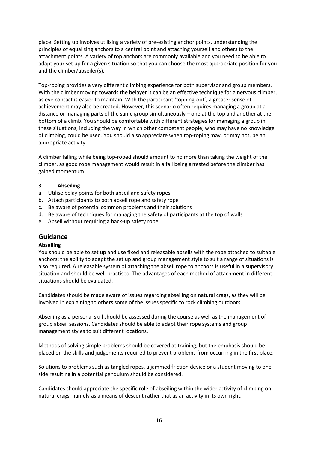place. Setting up involves utilising a variety of pre-existing anchor points, understanding the principles of equalising anchors to a central point and attaching yourself and others to the attachment points. A variety of top anchors are commonly available and you need to be able to adapt your set up for a given situation so that you can choose the most appropriate position for you and the climber/abseiler(s).

Top-roping provides a very different climbing experience for both supervisor and group members. With the climber moving towards the belayer it can be an effective technique for a nervous climber, as eye contact is easier to maintain. With the participant 'topping-out', a greater sense of achievement may also be created. However, this scenario often requires managing a group at a distance or managing parts of the same group simultaneously – one at the top and another at the bottom of a climb. You should be comfortable with different strategies for managing a group in these situations, including the way in which other competent people, who may have no knowledge of climbing, could be used. You should also appreciate when top-roping may, or may not, be an appropriate activity.

A climber falling while being top-roped should amount to no more than taking the weight of the climber, as good rope management would result in a fall being arrested before the climber has gained momentum.

#### <span id="page-16-0"></span>**3 Abseiling**

- a. Utilise belay points for both abseil and safety ropes
- b. Attach participants to both abseil rope and safety rope
- c. Be aware of potential common problems and their solutions
- d. Be aware of techniques for managing the safety of participants at the top of walls
- e. Abseil without requiring a back-up safety rope

#### **Guidance**

#### **Abseiling**

You should be able to set up and use fixed and releasable abseils with the rope attached to suitable anchors; the ability to adapt the set up and group management style to suit a range of situations is also required. A releasable system of attaching the abseil rope to anchors is useful in a supervisory situation and should be well-practised. The advantages of each method of attachment in different situations should be evaluated.

Candidates should be made aware of issues regarding abseiling on natural crags, as they will be involved in explaining to others some of the issues specific to rock climbing outdoors.

Abseiling as a personal skill should be assessed during the course as well as the management of group abseil sessions. Candidates should be able to adapt their rope systems and group management styles to suit different locations.

Methods of solving simple problems should be covered at training, but the emphasis should be placed on the skills and judgements required to prevent problems from occurring in the first place.

Solutions to problems such as tangled ropes, a jammed friction device or a student moving to one side resulting in a potential pendulum should be considered.

Candidates should appreciate the specific role of abseiling within the wider activity of climbing on natural crags, namely as a means of descent rather that as an activity in its own right.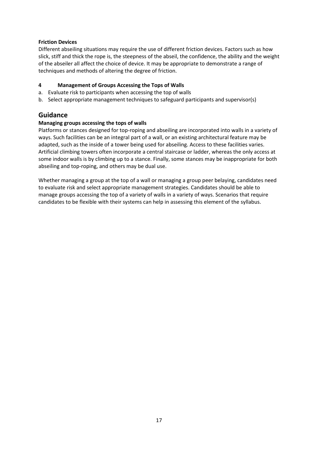#### **Friction Devices**

Different abseiling situations may require the use of different friction devices. Factors such as how slick, stiff and thick the rope is, the steepness of the abseil, the confidence, the ability and the weight of the abseiler all affect the choice of device. It may be appropriate to demonstrate a range of techniques and methods of altering the degree of friction.

#### <span id="page-17-0"></span>**4 Management of Groups Accessing the Tops of Walls**

- a. Evaluate risk to participants when accessing the top of walls
- b. Select appropriate management techniques to safeguard participants and supervisor(s)

#### **Guidance**

#### **Managing groups accessing the tops of walls**

Platforms or stances designed for top-roping and abseiling are incorporated into walls in a variety of ways. Such facilities can be an integral part of a wall, or an existing architectural feature may be adapted, such as the inside of a tower being used for abseiling. Access to these facilities varies. Artificial climbing towers often incorporate a central staircase or ladder, whereas the only access at some indoor walls is by climbing up to a stance. Finally, some stances may be inappropriate for both abseiling and top-roping, and others may be dual use.

Whether managing a group at the top of a wall or managing a group peer belaying, candidates need to evaluate risk and select appropriate management strategies. Candidates should be able to manage groups accessing the top of a variety of walls in a variety of ways. Scenarios that require candidates to be flexible with their systems can help in assessing this element of the syllabus.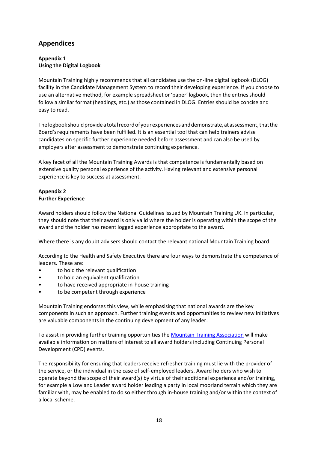# **Appendices**

#### <span id="page-18-0"></span>**Appendix 1 Using the Digital Logbook**

Mountain Training highly recommends that all candidates use the on-line digital logbook (DLOG) facility in the Candidate Management System to record their developing experience. If you choose to use an alternative method, for example spreadsheet or 'paper' logbook, then the entries should follow a similar format (headings, etc.) as those contained in DLOG. Entries should be concise and easy to read.

The logbook should provide a total record of your experiences and demonstrate, at assessment, that the Board'srequirements have been fulfilled. It is an essential tool that can help trainers advise candidates on specific further experience needed before assessment and can also be used by employers after assessment to demonstrate continuing experience.

A key facet of all the Mountain Training Awards is that competence is fundamentally based on extensive quality personal experience of the activity. Having relevant and extensive personal experience is key to success at assessment.

#### <span id="page-18-1"></span>**Appendix 2 Further Experience**

Award holders should follow the National Guidelines issued by Mountain Training UK. In particular, they should note that their award is only valid where the holder is operating within the scope of the award and the holder has recent logged experience appropriate to the award.

Where there is any doubt advisers should contact the relevant national Mountain Training board.

According to the Health and Safety Executive there are four ways to demonstrate the competence of leaders. These are:

- to hold the relevant qualification
- to hold an equivalent qualification
- to have received appropriate in-house training
- to be competent through experience

Mountain Training endorses this view, while emphasising that national awards are the key components in such an approach. Further training events and opportunities to review new initiatives are valuable components in the continuing development of any leader.

To assist in providing further training opportunities the [Mountain Training Association](https://www.mountain-training.org/mta) will make available information on matters of interest to all award holders including Continuing Personal Development (CPD) events.

The responsibility for ensuring that leaders receive refresher training must lie with the provider of the service, or the individual in the case of self-employed leaders. Award holders who wish to operate beyond the scope of their award(s) by virtue of their additional experience and/or training, for example a Lowland Leader award holder leading a party in local moorland terrain which they are familiar with, may be enabled to do so either through in-house training and/or within the context of a local scheme.